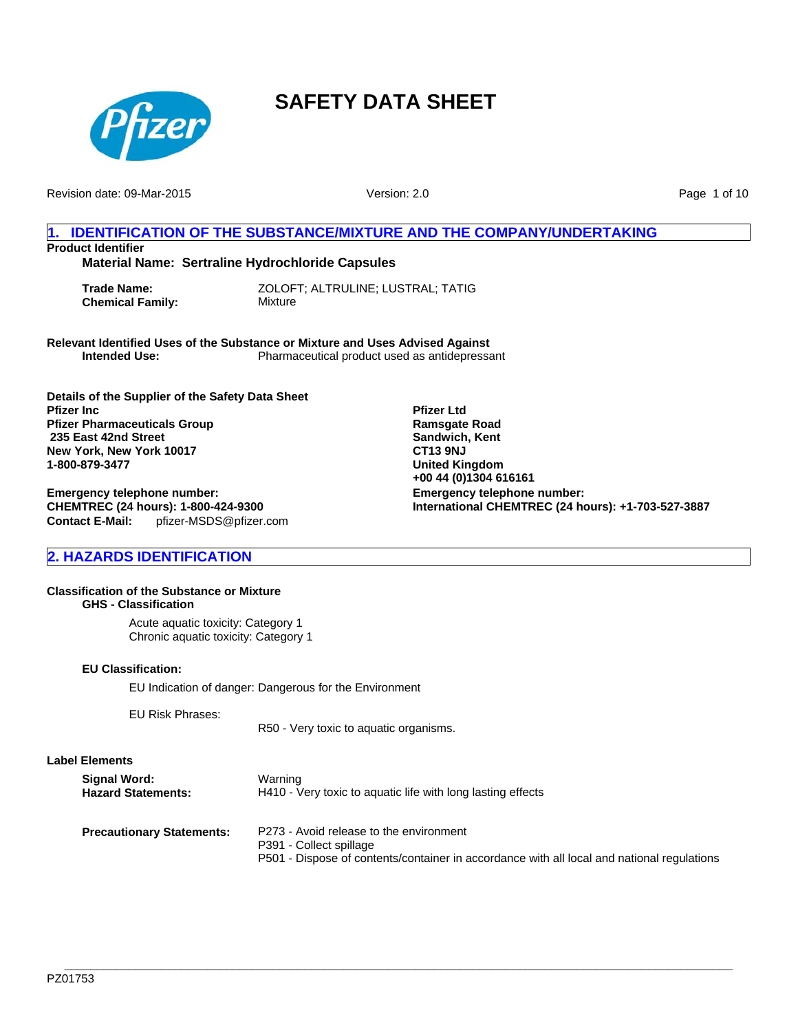

Revision date: 09-Mar-2015

Version: 2.0

Page 1 of 10

# **1. IDENTIFICATION OF THE SUBSTANCE/MIXTURE AND THE COMPANY/UNDERTAKING Product Identifier**

**Material Name: Sertraline Hydrochloride Capsules**

**Trade Name:** ZOLOFT; ALTRULINE; LUSTRAL; TATIG **Chemical Family:** Mixture

**Relevant Identified Uses of the Substance or Mixture and Uses Advised Against Intended Use:** Pharmaceutical product used as antidepressant

**Details of the Supplier of the Safety Data Sheet Pfizer Inc Pfizer Pharmaceuticals Group 235 East 42nd Street New York, New York 10017 1-800-879-3477**

**Contact E-Mail:** pfizer-MSDS@pfizer.com **Emergency telephone number: CHEMTREC (24 hours): 1-800-424-9300**

**2. HAZARDS IDENTIFICATION**

#### **Classification of the Substance or Mixture GHS - Classification**

Acute aquatic toxicity: Category 1 Chronic aquatic toxicity: Category 1

#### **EU Classification:**

EU Indication of danger: Dangerous for the Environment

EU Risk Phrases:

R50 - Very toxic to aquatic organisms.

**\_\_\_\_\_\_\_\_\_\_\_\_\_\_\_\_\_\_\_\_\_\_\_\_\_\_\_\_\_\_\_\_\_\_\_\_\_\_\_\_\_\_\_\_\_\_\_\_\_\_\_\_\_\_\_\_\_\_\_\_\_\_\_\_\_\_\_\_\_\_\_\_\_\_\_\_\_\_\_\_\_\_\_\_\_\_\_\_\_\_\_\_\_\_\_\_\_\_\_\_\_\_\_**

#### **Label Elements**

| Signal Word:                     | Warning                                                            |
|----------------------------------|--------------------------------------------------------------------|
| <b>Hazard Statements:</b>        | H410 - Very toxic to aquatic life with long lasting effects        |
| <b>Precautionary Statements:</b> | P273 - Avoid release to the environment<br>P391 - Collect spillage |

P501 - Dispose of contents/container in accordance with all local and national regulations

**Pfizer Ltd Ramsgate Road Sandwich, Kent CT13 9NJ United Kingdom +00 44 (0)1304 616161 Emergency telephone number: International CHEMTREC (24 hours): +1-703-527-3887**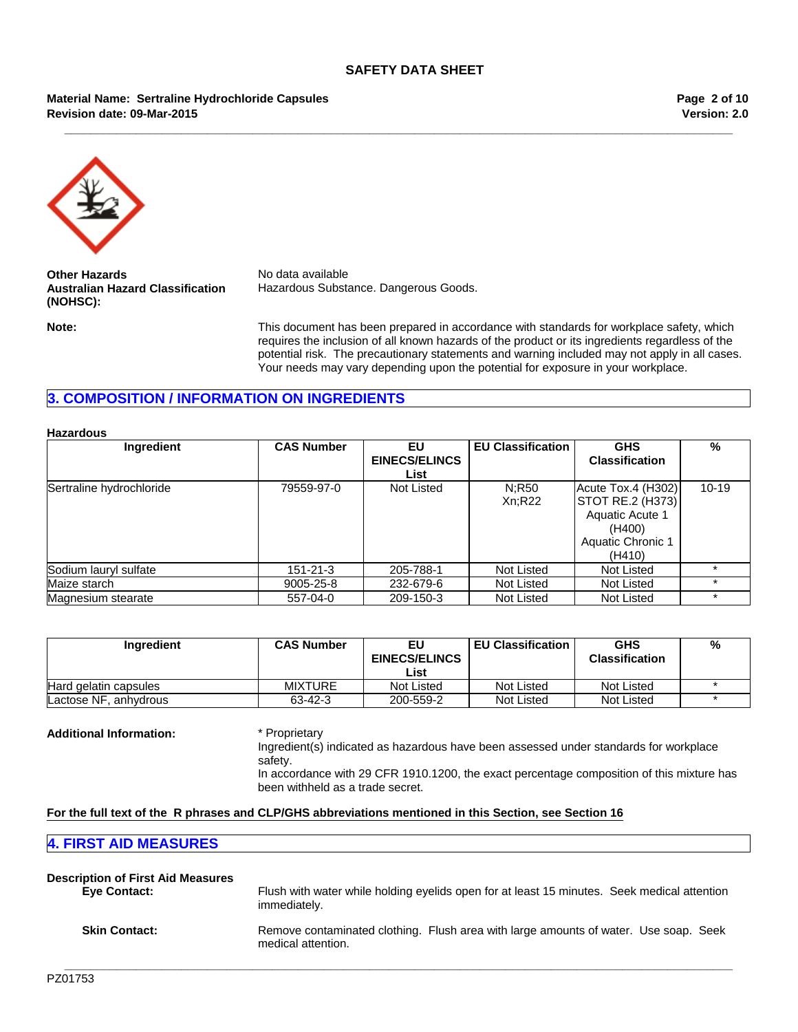**\_\_\_\_\_\_\_\_\_\_\_\_\_\_\_\_\_\_\_\_\_\_\_\_\_\_\_\_\_\_\_\_\_\_\_\_\_\_\_\_\_\_\_\_\_\_\_\_\_\_\_\_\_\_\_\_\_\_\_\_\_\_\_\_\_\_\_\_\_\_\_\_\_\_\_\_\_\_\_\_\_\_\_\_\_\_\_\_\_\_\_\_\_\_\_\_\_\_\_\_\_\_\_**

#### **Revision date: 09-Mar-2015 Material Name: Sertraline Hydrochloride Capsules**

**Version: 2.0 Page 2 of 10**



**Other Hazards** No data available **Australian Hazard Classification (NOHSC):**

Hazardous Substance. Dangerous Goods.

**Note:** This document has been prepared in accordance with standards for workplace safety, which requires the inclusion of all known hazards of the product or its ingredients regardless of the potential risk. The precautionary statements and warning included may not apply in all cases. Your needs may vary depending upon the potential for exposure in your workplace.

# **3. COMPOSITION / INFORMATION ON INGREDIENTS**

#### **Hazardous**

| Ingredient               | <b>CAS Number</b> | EU<br><b>EINECS/ELINCS</b> | <b>EU Classification</b> | <b>GHS</b><br><b>Classification</b>                                                                 | $\%$      |
|--------------------------|-------------------|----------------------------|--------------------------|-----------------------------------------------------------------------------------------------------|-----------|
|                          |                   | List                       |                          |                                                                                                     |           |
| Sertraline hydrochloride | 79559-97-0        | Not Listed                 | N:R50<br>Xn:R22          | Acute Tox.4 (H302)<br> STOT RE.2 (H373)<br>Aquatic Acute 1<br>(H400)<br>Aquatic Chronic 1<br>(H410) | $10 - 19$ |
| Sodium lauryl sulfate    | $151 - 21 - 3$    | 205-788-1                  | Not Listed               | Not Listed                                                                                          | $\star$   |
| Maize starch             | 9005-25-8         | 232-679-6                  | Not Listed               | Not Listed                                                                                          | $\star$   |
| Magnesium stearate       | 557-04-0          | 209-150-3                  | Not Listed               | Not Listed                                                                                          |           |

| Ingredient            | <b>CAS Number</b> | EU<br><b>EINECS/ELINCS</b> | <b>EU Classification</b> | <b>GHS</b><br><b>Classification</b> | % |
|-----------------------|-------------------|----------------------------|--------------------------|-------------------------------------|---|
|                       |                   | ∟ist                       |                          |                                     |   |
| Hard gelatin capsules | <b>MIXTURE</b>    | Not Listed                 | Not Listed               | Not Listed                          |   |
| Lactose NF, anhydrous | 63-42-3           | 200-559-2                  | Not Listed               | Not Listed                          |   |

#### **Additional Information:** \* Proprietary

Ingredient(s) indicated as hazardous have been assessed under standards for workplace safety.

In accordance with 29 CFR 1910.1200, the exact percentage composition of this mixture has been withheld as a trade secret.

#### **For the full text of the R phrases and CLP/GHS abbreviations mentioned in this Section, see Section 16**

### **4. FIRST AID MEASURES**

| <b>Description of First Aid Measures</b> | Flush with water while holding eyelids open for at least 15 minutes. Seek medical attention                |
|------------------------------------------|------------------------------------------------------------------------------------------------------------|
| <b>Eye Contact:</b>                      | immediately.                                                                                               |
| <b>Skin Contact:</b>                     | Remove contaminated clothing. Flush area with large amounts of water. Use soap. Seek<br>medical attention. |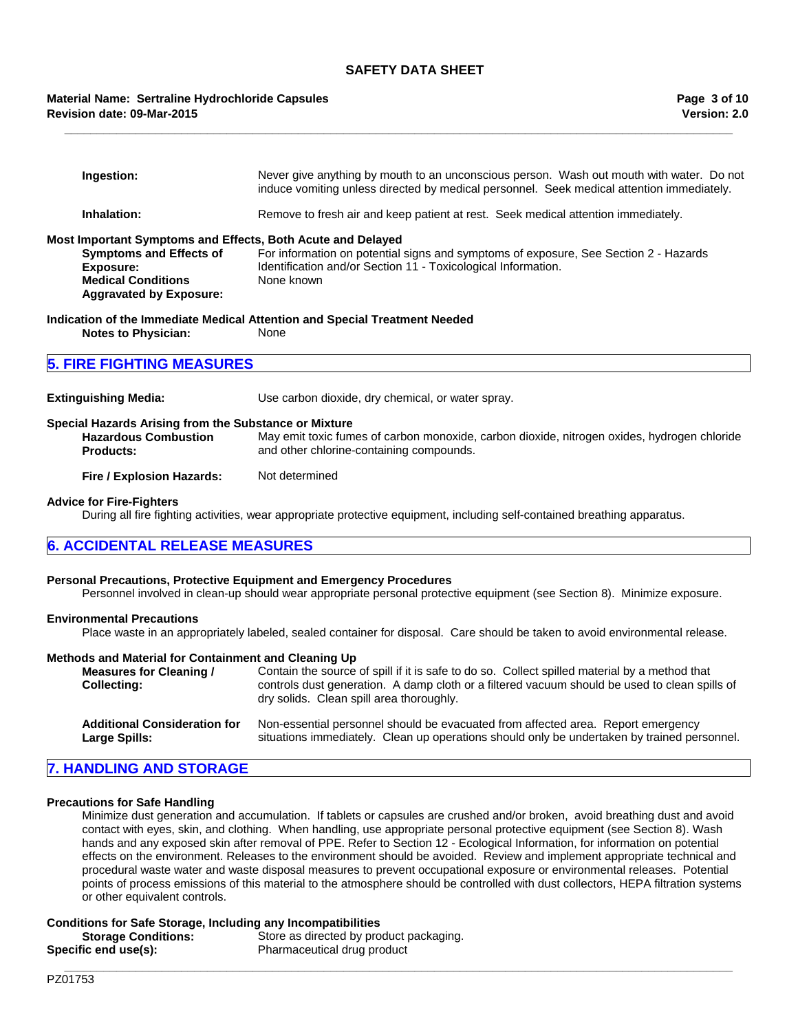**\_\_\_\_\_\_\_\_\_\_\_\_\_\_\_\_\_\_\_\_\_\_\_\_\_\_\_\_\_\_\_\_\_\_\_\_\_\_\_\_\_\_\_\_\_\_\_\_\_\_\_\_\_\_\_\_\_\_\_\_\_\_\_\_\_\_\_\_\_\_\_\_\_\_\_\_\_\_\_\_\_\_\_\_\_\_\_\_\_\_\_\_\_\_\_\_\_\_\_\_\_\_\_**

#### **Revision date: 09-Mar-2015 Material Name: Sertraline Hydrochloride Capsules**

| Ingestion:                                                                                                                                                                       | Never give anything by mouth to an unconscious person. Wash out mouth with water. Do not<br>induce vomiting unless directed by medical personnel. Seek medical attention immediately.           |
|----------------------------------------------------------------------------------------------------------------------------------------------------------------------------------|-------------------------------------------------------------------------------------------------------------------------------------------------------------------------------------------------|
| Inhalation:                                                                                                                                                                      | Remove to fresh air and keep patient at rest. Seek medical attention immediately.                                                                                                               |
| Most Important Symptoms and Effects, Both Acute and Delayed<br><b>Symptoms and Effects of</b><br><b>Exposure:</b><br><b>Medical Conditions</b><br><b>Aggravated by Exposure:</b> | For information on potential signs and symptoms of exposure, See Section 2 - Hazards<br>Identification and/or Section 11 - Toxicological Information.<br>None known                             |
| <b>Notes to Physician:</b>                                                                                                                                                       | Indication of the Immediate Medical Attention and Special Treatment Needed<br>None                                                                                                              |
| <b>5. FIRE FIGHTING MEASURES</b>                                                                                                                                                 |                                                                                                                                                                                                 |
| <b>Extinguishing Media:</b>                                                                                                                                                      | Use carbon dioxide, dry chemical, or water spray.                                                                                                                                               |
| Special Hazards Arising from the Substance or Mixture<br><b>Hazardous Combustion</b><br><b>Products:</b>                                                                         | May emit toxic fumes of carbon monoxide, carbon dioxide, nitrogen oxides, hydrogen chloride<br>and other chlorine-containing compounds.                                                         |
| Fire / Explosion Hazards:                                                                                                                                                        | Not determined                                                                                                                                                                                  |
| <b>Advice for Fire-Fighters</b>                                                                                                                                                  | During all fire fighting activities, wear appropriate protective equipment, including self-contained breathing apparatus.                                                                       |
| <b>6. ACCIDENTAL RELEASE MEASURES</b>                                                                                                                                            |                                                                                                                                                                                                 |
|                                                                                                                                                                                  | Personal Precautions, Protective Equipment and Emergency Procedures<br>Personnel involved in clean-up should wear appropriate personal protective equipment (see Section 8). Minimize exposure. |
| <b>Environmental Precautions</b>                                                                                                                                                 | Place waste in an appropriately labeled, sealed container for disposal. Care should be taken to avoid environmental release.                                                                    |

#### **Methods and Material for Containment and Cleaning Up**

| <b>Measures for Cleaning /</b><br><b>Collecting:</b> | Contain the source of spill if it is safe to do so. Collect spilled material by a method that<br>controls dust generation. A damp cloth or a filtered vacuum should be used to clean spills of<br>dry solids. Clean spill area thoroughly. |
|------------------------------------------------------|--------------------------------------------------------------------------------------------------------------------------------------------------------------------------------------------------------------------------------------------|
| <b>Additional Consideration for</b>                  | Non-essential personnel should be evacuated from affected area. Report emergency                                                                                                                                                           |
| Large Spills:                                        | situations immediately. Clean up operations should only be undertaken by trained personnel.                                                                                                                                                |

### **7. HANDLING AND STORAGE**

#### **Precautions for Safe Handling**

Minimize dust generation and accumulation. If tablets or capsules are crushed and/or broken, avoid breathing dust and avoid contact with eyes, skin, and clothing. When handling, use appropriate personal protective equipment (see Section 8). Wash hands and any exposed skin after removal of PPE. Refer to Section 12 - Ecological Information, for information on potential effects on the environment. Releases to the environment should be avoided. Review and implement appropriate technical and procedural waste water and waste disposal measures to prevent occupational exposure or environmental releases. Potential points of process emissions of this material to the atmosphere should be controlled with dust collectors, HEPA filtration systems or other equivalent controls.

**\_\_\_\_\_\_\_\_\_\_\_\_\_\_\_\_\_\_\_\_\_\_\_\_\_\_\_\_\_\_\_\_\_\_\_\_\_\_\_\_\_\_\_\_\_\_\_\_\_\_\_\_\_\_\_\_\_\_\_\_\_\_\_\_\_\_\_\_\_\_\_\_\_\_\_\_\_\_\_\_\_\_\_\_\_\_\_\_\_\_\_\_\_\_\_\_\_\_\_\_\_\_\_**

#### **Conditions for Safe Storage, Including any Incompatibilities**

| <b>Storage Conditions:</b> | Store as directed by product packaging. |
|----------------------------|-----------------------------------------|
| Specific end use(s):       | Pharmaceutical drug product             |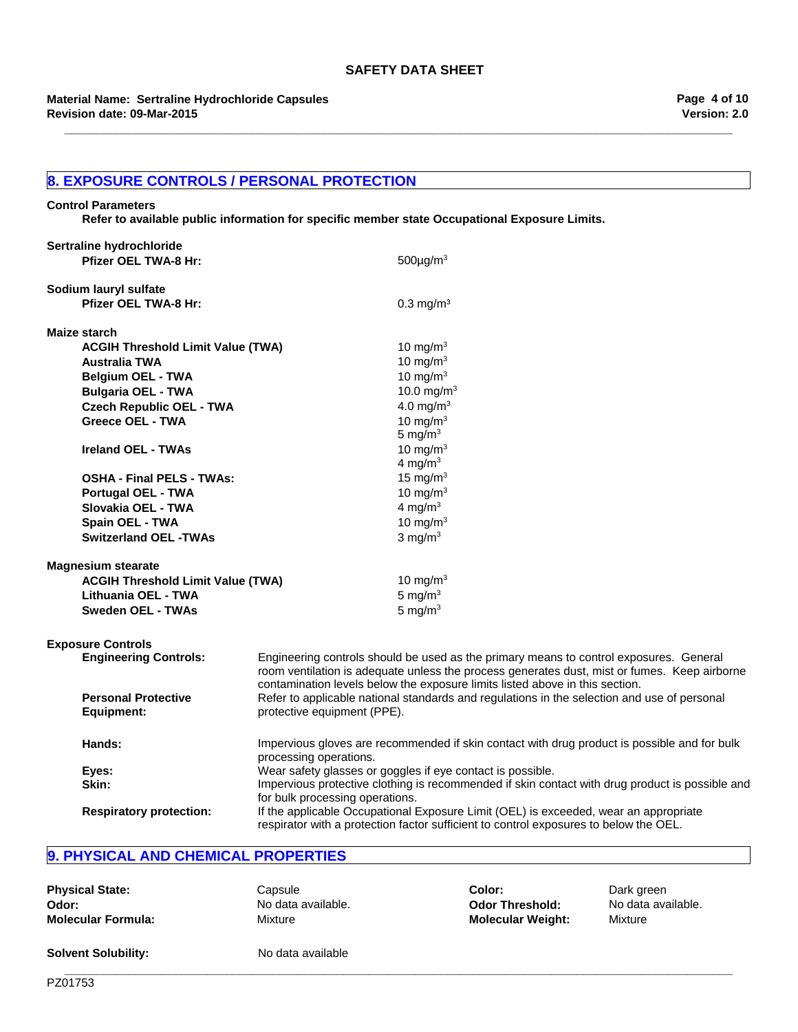**Revision date: 09-Mar-2015 Material Name: Sertraline Hydrochloride Capsules**

# **8. EXPOSURE CONTROLS / PERSONAL PROTECTION**

#### **Control Parameters Refer to available public information for specific member state Occupational Exposure Limits.**

**Sertraline hydrochloride**

| Sertraline hydrochloride                        |                                 |                                                                                                                                                                                                                                                                        |
|-------------------------------------------------|---------------------------------|------------------------------------------------------------------------------------------------------------------------------------------------------------------------------------------------------------------------------------------------------------------------|
| <b>Pfizer OEL TWA-8 Hr:</b>                     |                                 | $500 \mu g/m^3$                                                                                                                                                                                                                                                        |
| Sodium lauryl sulfate                           |                                 |                                                                                                                                                                                                                                                                        |
| Pfizer OEL TWA-8 Hr:                            |                                 | $0.3$ mg/m <sup>3</sup>                                                                                                                                                                                                                                                |
| Maize starch                                    |                                 |                                                                                                                                                                                                                                                                        |
| <b>ACGIH Threshold Limit Value (TWA)</b>        |                                 | 10 mg/m $3$                                                                                                                                                                                                                                                            |
| <b>Australia TWA</b>                            |                                 | 10 mg/m $3$                                                                                                                                                                                                                                                            |
| <b>Belgium OEL - TWA</b>                        |                                 | 10 mg/m $3$                                                                                                                                                                                                                                                            |
| <b>Bulgaria OEL - TWA</b>                       |                                 | 10.0 mg/m <sup>3</sup>                                                                                                                                                                                                                                                 |
| <b>Czech Republic OEL - TWA</b>                 |                                 | 4.0 mg/ $m3$                                                                                                                                                                                                                                                           |
| <b>Greece OEL - TWA</b>                         |                                 | 10 mg/m $3$                                                                                                                                                                                                                                                            |
|                                                 |                                 | 5 mg/ $m3$                                                                                                                                                                                                                                                             |
| <b>Ireland OEL - TWAs</b>                       |                                 | 10 mg/m $3$                                                                                                                                                                                                                                                            |
|                                                 |                                 | 4 mg/m <sup>3</sup>                                                                                                                                                                                                                                                    |
| <b>OSHA - Final PELS - TWAs:</b>                |                                 | 15 mg/m $3$                                                                                                                                                                                                                                                            |
| <b>Portugal OEL - TWA</b>                       |                                 | 10 mg/m $3$                                                                                                                                                                                                                                                            |
| Slovakia OEL - TWA                              |                                 | 4 mg/m $3$                                                                                                                                                                                                                                                             |
| Spain OEL - TWA                                 |                                 | 10 mg/m $3$                                                                                                                                                                                                                                                            |
| <b>Switzerland OEL -TWAs</b>                    |                                 | $3$ mg/m <sup>3</sup>                                                                                                                                                                                                                                                  |
| <b>Magnesium stearate</b>                       |                                 |                                                                                                                                                                                                                                                                        |
| <b>ACGIH Threshold Limit Value (TWA)</b>        |                                 | 10 mg/m $3$                                                                                                                                                                                                                                                            |
| Lithuania OEL - TWA                             |                                 | 5 mg/ $m3$                                                                                                                                                                                                                                                             |
| <b>Sweden OEL - TWAs</b>                        |                                 | 5 mg/ $m3$                                                                                                                                                                                                                                                             |
| <b>Exposure Controls</b>                        |                                 |                                                                                                                                                                                                                                                                        |
| <b>Engineering Controls:</b>                    |                                 | Engineering controls should be used as the primary means to control exposures. General<br>room ventilation is adequate unless the process generates dust, mist or fumes. Keep airborne<br>contamination levels below the exposure limits listed above in this section. |
| <b>Personal Protective</b><br><b>Equipment:</b> | protective equipment (PPE).     | Refer to applicable national standards and regulations in the selection and use of personal                                                                                                                                                                            |
| Hands:                                          | processing operations.          | Impervious gloves are recommended if skin contact with drug product is possible and for bulk                                                                                                                                                                           |
| Eyes:                                           |                                 | Wear safety glasses or goggles if eye contact is possible.                                                                                                                                                                                                             |
| Skin:                                           | for bulk processing operations. | Impervious protective clothing is recommended if skin contact with drug product is possible and                                                                                                                                                                        |
| <b>Respiratory protection:</b>                  |                                 | If the applicable Occupational Exposure Limit (OEL) is exceeded, wear an appropriate                                                                                                                                                                                   |

# respirator with a protection factor sufficient to control exposures to below the OEL.

# **9. PHYSICAL AND CHEMICAL PROPERTIES**

| <b>Physical State:</b>     | Capsule            |
|----------------------------|--------------------|
| Odor:                      | No data available. |
| <b>Molecular Formula:</b>  | Mixture            |
| <b>Solvent Solubility:</b> | No data available  |

**Color:** Dark green **Odor Threshold:** No data available. **Molecular Weight:** Mixture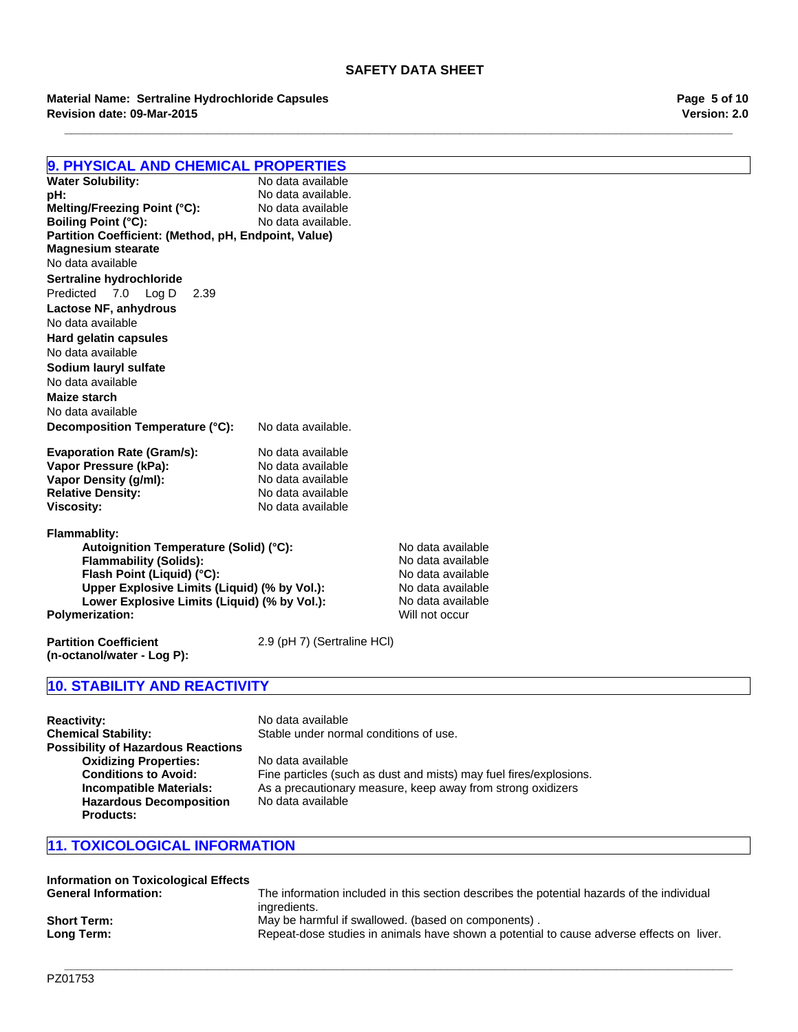**Revision date: 09-Mar-2015 Material Name: Sertraline Hydrochloride Capsules**

| 9. PHYSICAL AND CHEMICAL PROPERTIES                  |                             |                   |
|------------------------------------------------------|-----------------------------|-------------------|
| <b>Water Solubility:</b>                             | No data available           |                   |
| pH:                                                  | No data available.          |                   |
| Melting/Freezing Point (°C):                         | No data available           |                   |
| Boiling Point (°C):                                  | No data available.          |                   |
| Partition Coefficient: (Method, pH, Endpoint, Value) |                             |                   |
| <b>Magnesium stearate</b>                            |                             |                   |
| No data available                                    |                             |                   |
| Sertraline hydrochloride                             |                             |                   |
| Predicted 7.0<br>Log D<br>2.39                       |                             |                   |
| Lactose NF, anhydrous                                |                             |                   |
| No data available                                    |                             |                   |
| Hard gelatin capsules                                |                             |                   |
| No data available                                    |                             |                   |
| Sodium lauryl sulfate                                |                             |                   |
| No data available                                    |                             |                   |
| Maize starch                                         |                             |                   |
| No data available                                    |                             |                   |
| Decomposition Temperature (°C):                      | No data available.          |                   |
|                                                      |                             |                   |
| <b>Evaporation Rate (Gram/s):</b>                    | No data available           |                   |
| Vapor Pressure (kPa):                                | No data available           |                   |
| Vapor Density (g/ml):                                | No data available           |                   |
| <b>Relative Density:</b>                             | No data available           |                   |
| <b>Viscosity:</b>                                    | No data available           |                   |
| <b>Flammablity:</b>                                  |                             |                   |
| Autoignition Temperature (Solid) (°C):               |                             | No data available |
| <b>Flammability (Solids):</b>                        |                             | No data available |
| Flash Point (Liquid) (°C):                           |                             | No data available |
| Upper Explosive Limits (Liquid) (% by Vol.):         |                             | No data available |
| Lower Explosive Limits (Liquid) (% by Vol.):         |                             | No data available |
| Polymerization:                                      |                             | Will not occur    |
|                                                      |                             |                   |
| <b>Partition Coefficient</b>                         | 2.9 (pH 7) (Sertraline HCI) |                   |
| (n-octanol/water - Log P):                           |                             |                   |
|                                                      |                             |                   |

# **10. STABILITY AND REACTIVITY**

| <b>Reactivity:</b><br><b>Chemical Stability:</b> | No data available<br>Stable under normal conditions of use.        |
|--------------------------------------------------|--------------------------------------------------------------------|
| <b>Possibility of Hazardous Reactions</b>        |                                                                    |
| <b>Oxidizing Properties:</b>                     | No data available                                                  |
| <b>Conditions to Avoid:</b>                      | Fine particles (such as dust and mists) may fuel fires/explosions. |
| Incompatible Materials:                          | As a precautionary measure, keep away from strong oxidizers        |
| <b>Hazardous Decomposition</b>                   | No data available                                                  |
| <b>Products:</b>                                 |                                                                    |

# **11. TOXICOLOGICAL INFORMATION**

| <b>Information on Toxicological Effects</b> |                                                                                                            |
|---------------------------------------------|------------------------------------------------------------------------------------------------------------|
| <b>General Information:</b>                 | The information included in this section describes the potential hazards of the individual<br>inaredients. |
| <b>Short Term:</b>                          | May be harmful if swallowed. (based on components).                                                        |
| Long Term:                                  | Repeat-dose studies in animals have shown a potential to cause adverse effects on liver.                   |

**\_\_\_\_\_\_\_\_\_\_\_\_\_\_\_\_\_\_\_\_\_\_\_\_\_\_\_\_\_\_\_\_\_\_\_\_\_\_\_\_\_\_\_\_\_\_\_\_\_\_\_\_\_\_\_\_\_\_\_\_\_\_\_\_\_\_\_\_\_\_\_\_\_\_\_\_\_\_\_\_\_\_\_\_\_\_\_\_\_\_\_\_\_\_\_\_\_\_\_\_\_\_\_** PZ01753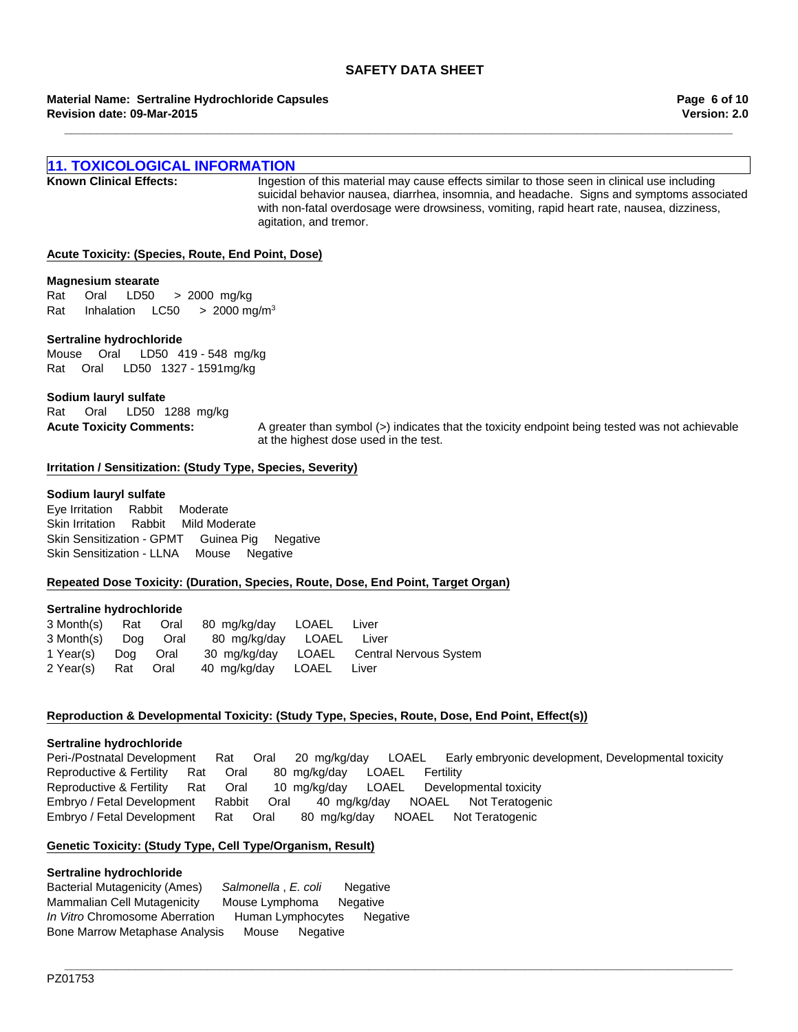#### **Revision date: 09-Mar-2015 Material Name: Sertraline Hydrochloride Capsules**

**Version: 2.0 Page 6 of 10**

### **11. TOXICOLOGICAL INFORMATION**

**Known Clinical Effects:** Ingestion of this material may cause effects similar to those seen in clinical use including suicidal behavior nausea, diarrhea, insomnia, and headache. Signs and symptoms associated with non-fatal overdosage were drowsiness, vomiting, rapid heart rate, nausea, dizziness, agitation, and tremor.

#### **Acute Toxicity: (Species, Route, End Point, Dose)**

#### **Magnesium stearate**

Rat InhalationLC50 >2000 mg/m3 Rat Oral LD50 >2000mg/kg

#### **Sertraline hydrochloride**

MouseOral LD50 419 - 548mg/kg RatOral LD50 1327 - 1591mg/kg

#### **Sodium lauryl sulfate**

Rat Oral LD50 1288mg/kg

**Acute Toxicity Comments:** A greater than symbol (>) indicates that the toxicity endpoint being tested was not achievable at the highest dose used in the test.

#### **Irritation / Sensitization: (Study Type, Species, Severity)**

#### **Sodium lauryl sulfate**

Eye IrritationRabbitModerate Skin IrritationRabbitMild Moderate Skin Sensitization - GPMTGuinea PigNegative Skin Sensitization - LLNAMouseNegative

#### **Repeated Dose Toxicity: (Duration, Species, Route, Dose, End Point, Target Organ)**

#### **Sertraline hydrochloride**

|                     |  | 3 Month(s) Rat Oral 80 mg/kg/day LOAEL | Liver                                     |
|---------------------|--|----------------------------------------|-------------------------------------------|
| 3 Month(s) Dog Oral |  | 80 mg/kg/day LOAEL Liver               |                                           |
| 1 Year(s) Dog Oral  |  |                                        | 30 mg/kg/day LOAEL Central Nervous System |
| 2 Year(s) Rat Oral  |  | 40 mg/kg/day LOAEL Liver               |                                           |

#### **Reproduction & Developmental Toxicity: (Study Type, Species, Route, Dose, End Point, Effect(s))**

#### **Sertraline hydrochloride**

Peri-/Postnatal DevelopmentRatOral20mg/kg/dayLOAELEarly embryonic development, Developmental toxicity Reproductive & FertilityRatOral80mg/kg/dayLOAELFertility Reproductive & FertilityRatOral10mg/kg/dayLOAELDevelopmental toxicity Embryo / Fetal DevelopmentRabbitOral40mg/kg/dayNOAELNot Teratogenic Embryo / Fetal DevelopmentRatOral80mg/kg/dayNOAELNot Teratogenic

**\_\_\_\_\_\_\_\_\_\_\_\_\_\_\_\_\_\_\_\_\_\_\_\_\_\_\_\_\_\_\_\_\_\_\_\_\_\_\_\_\_\_\_\_\_\_\_\_\_\_\_\_\_\_\_\_\_\_\_\_\_\_\_\_\_\_\_\_\_\_\_\_\_\_\_\_\_\_\_\_\_\_\_\_\_\_\_\_\_\_\_\_\_\_\_\_\_\_\_\_\_\_\_**

#### **Genetic Toxicity: (Study Type, Cell Type/Organism, Result)**

#### **Sertraline hydrochloride**

Bacterial Mutagenicity (Ames)*Salmonella* , *E. coli* Negative Mammalian Cell Mutagenicity Mouse LymphomaNegative *In Vitro* Chromosome AberrationHuman LymphocytesNegative Bone Marrow Metaphase AnalysisMouseNegative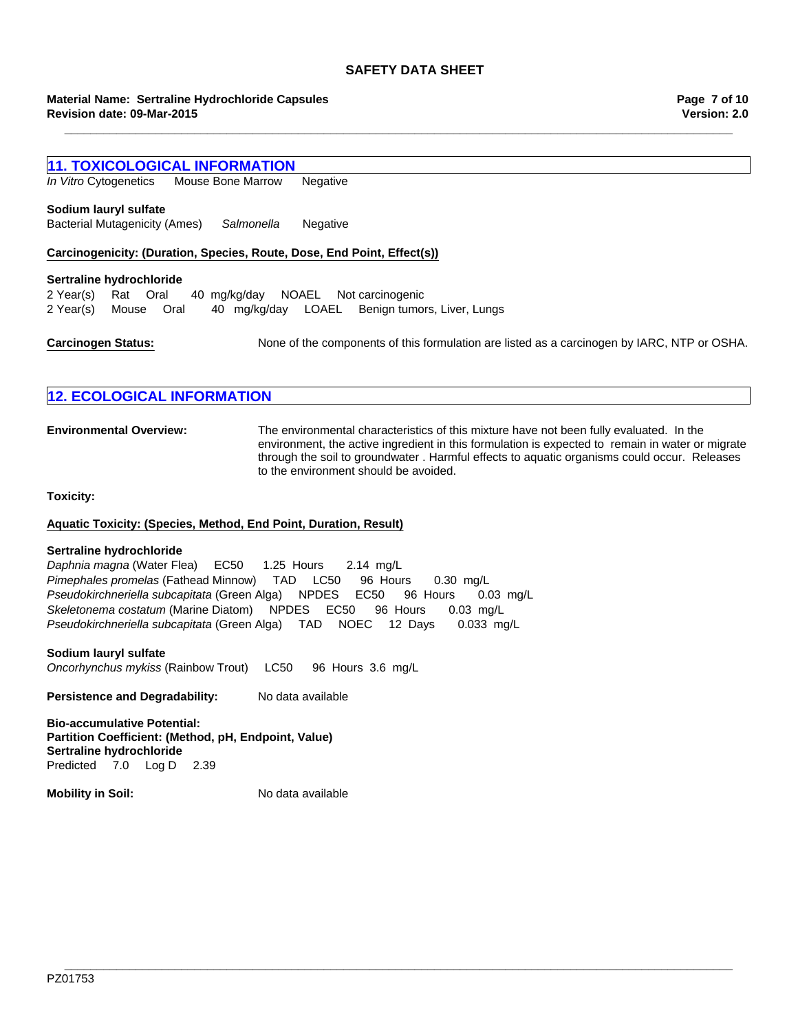**\_\_\_\_\_\_\_\_\_\_\_\_\_\_\_\_\_\_\_\_\_\_\_\_\_\_\_\_\_\_\_\_\_\_\_\_\_\_\_\_\_\_\_\_\_\_\_\_\_\_\_\_\_\_\_\_\_\_\_\_\_\_\_\_\_\_\_\_\_\_\_\_\_\_\_\_\_\_\_\_\_\_\_\_\_\_\_\_\_\_\_\_\_\_\_\_\_\_\_\_\_\_\_**

#### **Revision date: 09-Mar-2015 Material Name: Sertraline Hydrochloride Capsules**

| <b>11. TOXICOLOGICAL INFORMATION</b>                                                                                                                                                           |                                                                                                                                                                                                                                                                                                                                     |
|------------------------------------------------------------------------------------------------------------------------------------------------------------------------------------------------|-------------------------------------------------------------------------------------------------------------------------------------------------------------------------------------------------------------------------------------------------------------------------------------------------------------------------------------|
| In Vitro Cytogenetics<br>Mouse Bone Marrow                                                                                                                                                     | Negative                                                                                                                                                                                                                                                                                                                            |
| Sodium lauryl sulfate                                                                                                                                                                          |                                                                                                                                                                                                                                                                                                                                     |
| <b>Bacterial Mutagenicity (Ames)</b>                                                                                                                                                           | Salmonella<br>Negative                                                                                                                                                                                                                                                                                                              |
|                                                                                                                                                                                                | Carcinogenicity: (Duration, Species, Route, Dose, End Point, Effect(s))                                                                                                                                                                                                                                                             |
| Sertraline hydrochloride<br>Rat Oral<br>2 Year(s)<br>Oral<br>2 Year(s)<br>Mouse                                                                                                                | NOAEL<br>40 mg/kg/day<br>Not carcinogenic<br>40 mg/kg/day LOAEL<br>Benign tumors, Liver, Lungs                                                                                                                                                                                                                                      |
| <b>Carcinogen Status:</b>                                                                                                                                                                      | None of the components of this formulation are listed as a carcinogen by IARC, NTP or OSHA.                                                                                                                                                                                                                                         |
| <b>12. ECOLOGICAL INFORMATION</b>                                                                                                                                                              |                                                                                                                                                                                                                                                                                                                                     |
| <b>Environmental Overview:</b>                                                                                                                                                                 | The environmental characteristics of this mixture have not been fully evaluated. In the<br>environment, the active ingredient in this formulation is expected to remain in water or migrate<br>through the soil to groundwater. Harmful effects to aquatic organisms could occur. Releases<br>to the environment should be avoided. |
| Toxicity:                                                                                                                                                                                      |                                                                                                                                                                                                                                                                                                                                     |
| Aquatic Toxicity: (Species, Method, End Point, Duration, Result)                                                                                                                               |                                                                                                                                                                                                                                                                                                                                     |
| Sertraline hydrochloride<br>Daphnia magna (Water Flea)<br>EC50<br>Pimephales promelas (Fathead Minnow)<br>Pseudokirchneriella subcapitata (Green Alga)<br>Skeletonema costatum (Marine Diatom) | 1.25 Hours<br>2.14 $mq/L$<br>LC50<br>96 Hours<br>TAD<br>0.30 mg/L<br><b>NPDES</b><br><b>EC50</b><br>96 Hours<br>$0.03$ mg/L<br><b>NPDES</b><br><b>EC50</b><br>$0.03$ mg/L<br>96 Hours                                                                                                                                               |

*Pseudokirchneriella subcapitata* (Green Alga)TADNOEC12Days0.033mg/L

**Sodium lauryl sulfate**

*Oncorhynchus mykiss* (Rainbow Trout)LC50 96Hours3.6mg/L

Persistence and Degradability: No data available

**Bio-accumulative Potential: Partition Coefficient: (Method, pH, Endpoint, Value) Sertraline hydrochloride** Predicted7.0Log D2.39

**Mobility in Soil:** No data available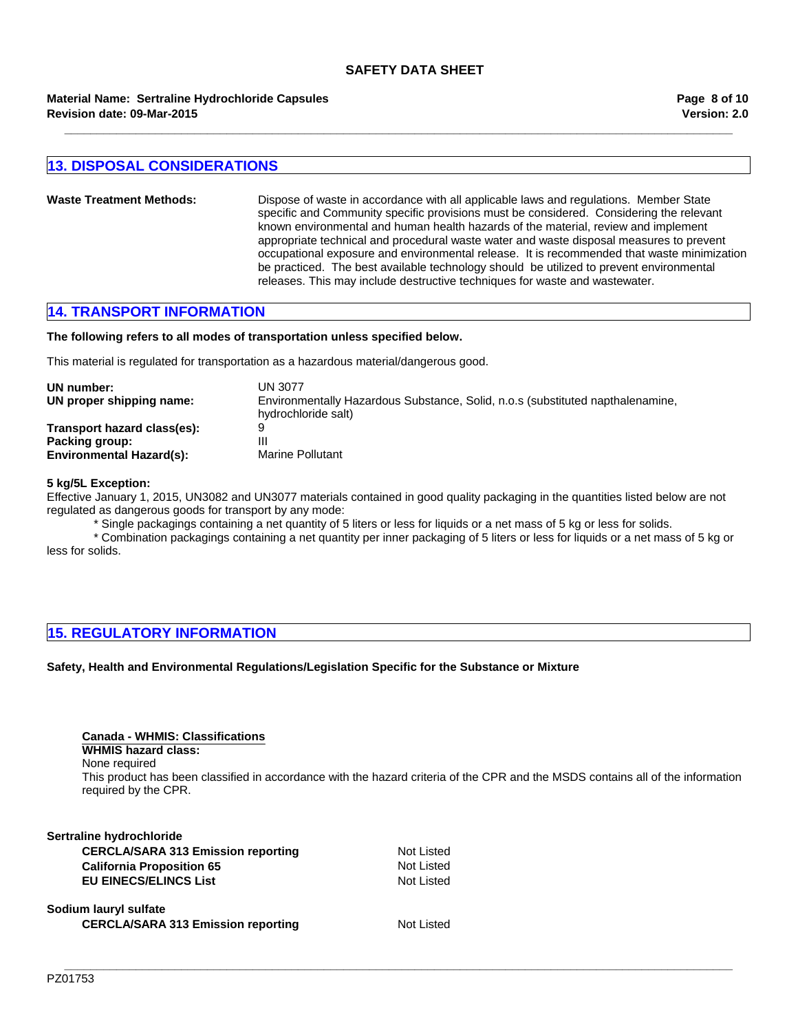#### **Revision date: 09-Mar-2015 Material Name: Sertraline Hydrochloride Capsules**

**Page 8 of 10 Version: 2.0**

# **13. DISPOSAL CONSIDERATIONS**

| <b>Waste Treatment Methods:</b> | Dispose of waste in accordance with all applicable laws and regulations. Member State<br>specific and Community specific provisions must be considered. Considering the relevant<br>known environmental and human health hazards of the material, review and implement<br>appropriate technical and procedural waste water and waste disposal measures to prevent<br>occupational exposure and environmental release. It is recommended that waste minimization<br>be practiced. The best available technology should be utilized to prevent environmental<br>releases. This may include destructive techniques for waste and wastewater. |
|---------------------------------|-------------------------------------------------------------------------------------------------------------------------------------------------------------------------------------------------------------------------------------------------------------------------------------------------------------------------------------------------------------------------------------------------------------------------------------------------------------------------------------------------------------------------------------------------------------------------------------------------------------------------------------------|
|                                 |                                                                                                                                                                                                                                                                                                                                                                                                                                                                                                                                                                                                                                           |

**\_\_\_\_\_\_\_\_\_\_\_\_\_\_\_\_\_\_\_\_\_\_\_\_\_\_\_\_\_\_\_\_\_\_\_\_\_\_\_\_\_\_\_\_\_\_\_\_\_\_\_\_\_\_\_\_\_\_\_\_\_\_\_\_\_\_\_\_\_\_\_\_\_\_\_\_\_\_\_\_\_\_\_\_\_\_\_\_\_\_\_\_\_\_\_\_\_\_\_\_\_\_\_**

### **14. TRANSPORT INFORMATION**

#### **The following refers to all modes of transportation unless specified below.**

This material is regulated for transportation as a hazardous material/dangerous good.

| UN number:                      | UN 3077                                                                        |
|---------------------------------|--------------------------------------------------------------------------------|
| UN proper shipping name:        | Environmentally Hazardous Substance, Solid, n.o.s (substituted napthalenamine, |
|                                 | hydrochloride salt)                                                            |
| Transport hazard class(es):     | a                                                                              |
| Packing group:                  |                                                                                |
| <b>Environmental Hazard(s):</b> | Marine Pollutant                                                               |

#### **5 kg/5L Exception:**

Effective January 1, 2015, UN3082 and UN3077 materials contained in good quality packaging in the quantities listed below are not regulated as dangerous goods for transport by any mode:

\* Single packagings containing a net quantity of 5 liters or less for liquids or a net mass of 5 kg or less for solids.

\* Combination packagings containing a net quantity per inner packaging of 5 liters or less for liquids or a net mass of 5 kg or less for solids.

# **15. REGULATORY INFORMATION**

#### **Safety, Health and Environmental Regulations/Legislation Specific for the Substance or Mixture**

# **Canada - WHMIS: Classifications WHMIS hazard class:** None required

This product has been classified in accordance with the hazard criteria of the CPR and the MSDS contains all of the information required by the CPR.

**\_\_\_\_\_\_\_\_\_\_\_\_\_\_\_\_\_\_\_\_\_\_\_\_\_\_\_\_\_\_\_\_\_\_\_\_\_\_\_\_\_\_\_\_\_\_\_\_\_\_\_\_\_\_\_\_\_\_\_\_\_\_\_\_\_\_\_\_\_\_\_\_\_\_\_\_\_\_\_\_\_\_\_\_\_\_\_\_\_\_\_\_\_\_\_\_\_\_\_\_\_\_\_**

| Sertraline hydrochloride                  |            |
|-------------------------------------------|------------|
| <b>CERCLA/SARA 313 Emission reporting</b> | Not Listed |
| <b>California Proposition 65</b>          | Not Listed |
| <b>EU EINECS/ELINCS List</b>              | Not Listed |
| Sodium lauryl sulfate                     |            |
| <b>CERCLA/SARA 313 Emission reporting</b> | Not Listed |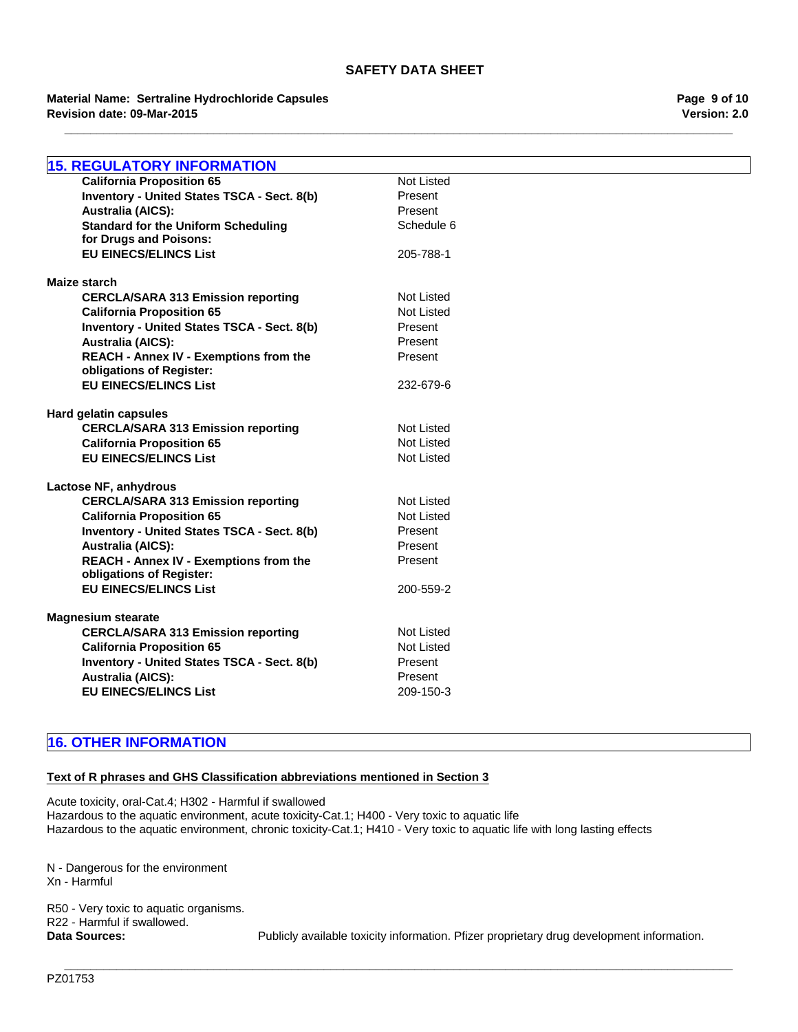#### **Revision date: 09-Mar-2015 Material Name: Sertraline Hydrochloride Capsules**

**Page 9 of 10 Version: 2.0**

| <b>15. REGULATORY INFORMATION</b>                                    |                   |
|----------------------------------------------------------------------|-------------------|
| <b>California Proposition 65</b>                                     | <b>Not Listed</b> |
| Inventory - United States TSCA - Sect. 8(b)                          | Present           |
| <b>Australia (AICS):</b>                                             | Present           |
| <b>Standard for the Uniform Scheduling</b><br>for Drugs and Poisons: | Schedule 6        |
| <b>EU EINECS/ELINCS List</b>                                         | 205-788-1         |
| Maize starch                                                         |                   |
| <b>CERCLA/SARA 313 Emission reporting</b>                            | <b>Not Listed</b> |
| <b>California Proposition 65</b>                                     | <b>Not Listed</b> |
| Inventory - United States TSCA - Sect. 8(b)                          | Present           |
| <b>Australia (AICS):</b>                                             | Present           |
| <b>REACH - Annex IV - Exemptions from the</b>                        | Present           |
| obligations of Register:                                             |                   |
| <b>EU EINECS/ELINCS List</b>                                         | 232-679-6         |
| Hard gelatin capsules                                                |                   |
| <b>CERCLA/SARA 313 Emission reporting</b>                            | <b>Not Listed</b> |
| <b>California Proposition 65</b>                                     | <b>Not Listed</b> |
| <b>EU EINECS/ELINCS List</b>                                         | <b>Not Listed</b> |
| Lactose NF, anhydrous                                                |                   |
| <b>CERCLA/SARA 313 Emission reporting</b>                            | <b>Not Listed</b> |
| <b>California Proposition 65</b>                                     | <b>Not Listed</b> |
| Inventory - United States TSCA - Sect. 8(b)                          | Present           |
| <b>Australia (AICS):</b>                                             | Present           |
| <b>REACH - Annex IV - Exemptions from the</b>                        | Present           |
| obligations of Register:                                             |                   |
| <b>EU EINECS/ELINCS List</b>                                         | 200-559-2         |
| <b>Magnesium stearate</b>                                            |                   |
| <b>CERCLA/SARA 313 Emission reporting</b>                            | <b>Not Listed</b> |
| <b>California Proposition 65</b>                                     | <b>Not Listed</b> |
| <b>Inventory - United States TSCA - Sect. 8(b)</b>                   | Present           |
| <b>Australia (AICS):</b>                                             | Present           |
| <b>EU EINECS/ELINCS List</b>                                         | 209-150-3         |
|                                                                      |                   |

# **16. OTHER INFORMATION**

#### **Text of R phrases and GHS Classification abbreviations mentioned in Section 3**

Acute toxicity, oral-Cat.4; H302 - Harmful if swallowed Hazardous to the aquatic environment, acute toxicity-Cat.1; H400 - Very toxic to aquatic life Hazardous to the aquatic environment, chronic toxicity-Cat.1; H410 - Very toxic to aquatic life with long lasting effects

N - Dangerous for the environment Xn - Harmful

R50 - Very toxic to aquatic organisms. R22 - Harmful if swallowed. Data Sources: Publicly available toxicity information. Pfizer proprietary drug development information.

**\_\_\_\_\_\_\_\_\_\_\_\_\_\_\_\_\_\_\_\_\_\_\_\_\_\_\_\_\_\_\_\_\_\_\_\_\_\_\_\_\_\_\_\_\_\_\_\_\_\_\_\_\_\_\_\_\_\_\_\_\_\_\_\_\_\_\_\_\_\_\_\_\_\_\_\_\_\_\_\_\_\_\_\_\_\_\_\_\_\_\_\_\_\_\_\_\_\_\_\_\_\_\_**